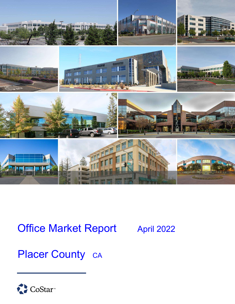

# Office Market Report April 2022

# Placer County CA

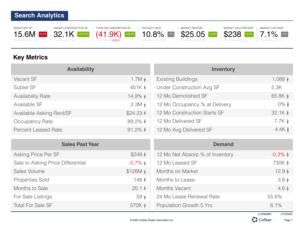INVENTORY SF 15.6M  $-0.4\%$ Prior Period 15.7M



12 MO NET ABSORPTION SF (41.9K) Prior Period (690K)





MARKET SALE PRICE/SF \$238 +2.3% Prior Period \$233



## **Key Metrics**

| <b>Availability</b>        |                      | <b>Inventory</b>                 |                   |
|----------------------------|----------------------|----------------------------------|-------------------|
| Vacant SF                  | $1.7M \star$         | <b>Existing Buildings</b>        | $1,088 +$         |
| Sublet SF                  | 451K A               | <b>Under Construction Avg SF</b> | 5.3K              |
| <b>Availability Rate</b>   | $14.9\%$ $\star$     | 12 Mo Demolished SF              | 65.8K $\sqrt{ }$  |
| Available SF               | $2.3M \star$         | 12 Mo Occupancy % at Delivery    | $0\%$ $\bullet$   |
| Available Asking Rent/SF   | $$24.23$ $\triangle$ | 12 Mo Construction Starts SF     | 32.1K A           |
| Occupancy Rate             | 89.2% $\triangle$    | 12 Mo Delivered SF               | $7.7K$ $\sqrt{ }$ |
| <b>Percent Leased Rate</b> | $91.2\%$ $\uparrow$  | 12 Mo Avg Delivered SF           | 4.4K              |

| <b>Sales Past Year</b>            |                      | <b>Demand</b>                   |                     |
|-----------------------------------|----------------------|---------------------------------|---------------------|
| Asking Price Per SF               | $$249$ $\triangle$   | 12 Mo Net Absorp % of Inventory | $-0.3\%$ $\uparrow$ |
| Sale to Asking Price Differential | $-5.7\%$ $\star$     | 12 Mo Leased SF                 | 730K 4              |
| Sales Volume                      | $$128M$ $\downarrow$ | Months on Market                | 12.9 <sub>4</sub>   |
| <b>Properties Sold</b>            | 148 4                | Months to Lease                 | $3.8\sqrt{ }$       |
| Months to Sale                    | 20.14                | Months Vacant                   | $4.6\sqrt{ }$       |
| For Sale Listings                 | 59 <sub>v</sub>      | 24 Mo Lease Renewal Rate        | 55.6%               |
| <b>Total For Sale SF</b>          | 570K +               | Population Growth 5 Yrs         | 6.1%                |



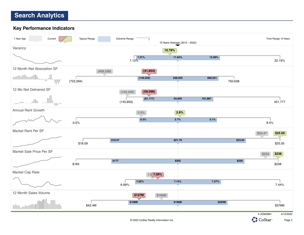**Key Performance Indicators**



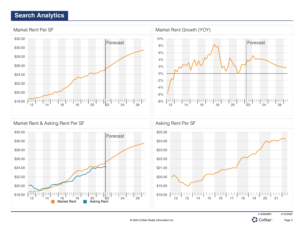



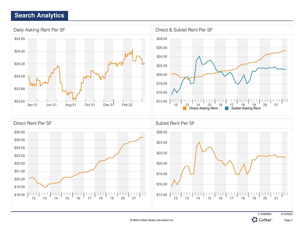



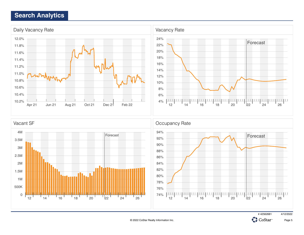

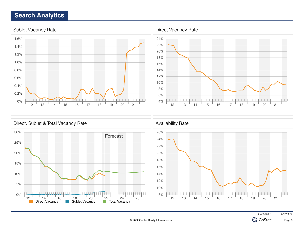





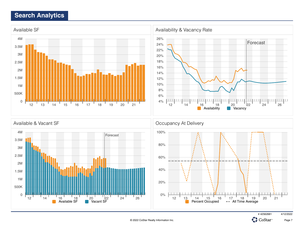



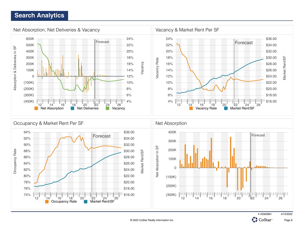

© 2022 CoStar Realty Information Inc.

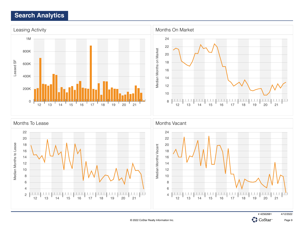

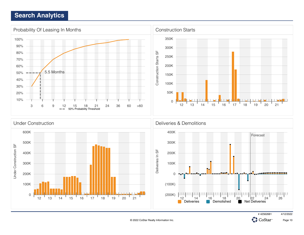







**CH**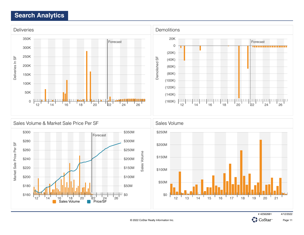



# 42562681 4/12/2022 **CH** 

CoStar<sup>®</sup>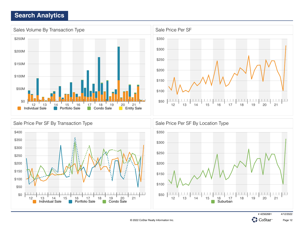



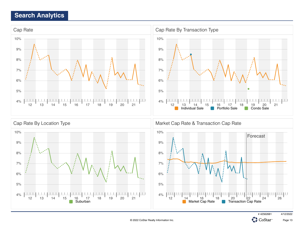



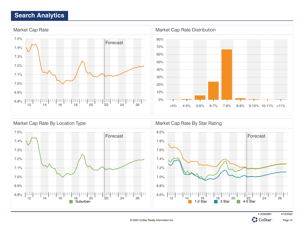



# 42562681 4/12/2022

CoStar<sup>®</sup>

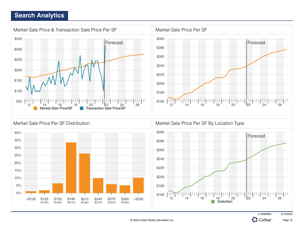

![](_page_15_Figure_2.jpeg)

![](_page_15_Figure_3.jpeg)

![](_page_15_Picture_5.jpeg)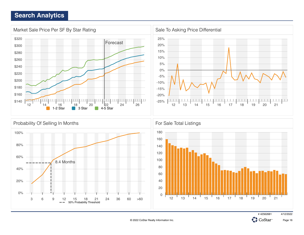![](_page_16_Figure_1.jpeg)

![](_page_16_Picture_3.jpeg)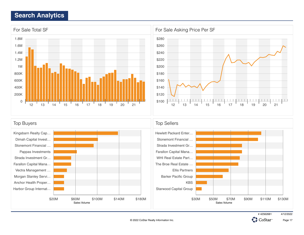![](_page_17_Figure_1.jpeg)

![](_page_17_Figure_2.jpeg)

![](_page_17_Figure_3.jpeg)

![](_page_17_Picture_5.jpeg)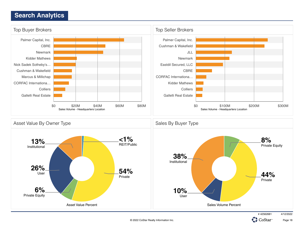![](_page_18_Figure_1.jpeg)

CoStar<sup>®</sup>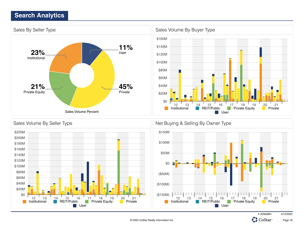![](_page_19_Figure_1.jpeg)

![](_page_19_Figure_2.jpeg)

![](_page_19_Figure_3.jpeg)

![](_page_19_Picture_5.jpeg)

© 2022 CoStar Realty Information Inc.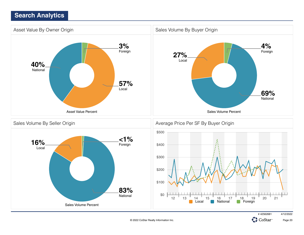![](_page_20_Figure_1.jpeg)

# 42562681 4/12/2022

![](_page_20_Picture_4.jpeg)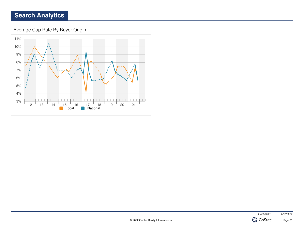![](_page_21_Figure_1.jpeg)

![](_page_21_Picture_2.jpeg)

![](_page_21_Picture_3.jpeg)